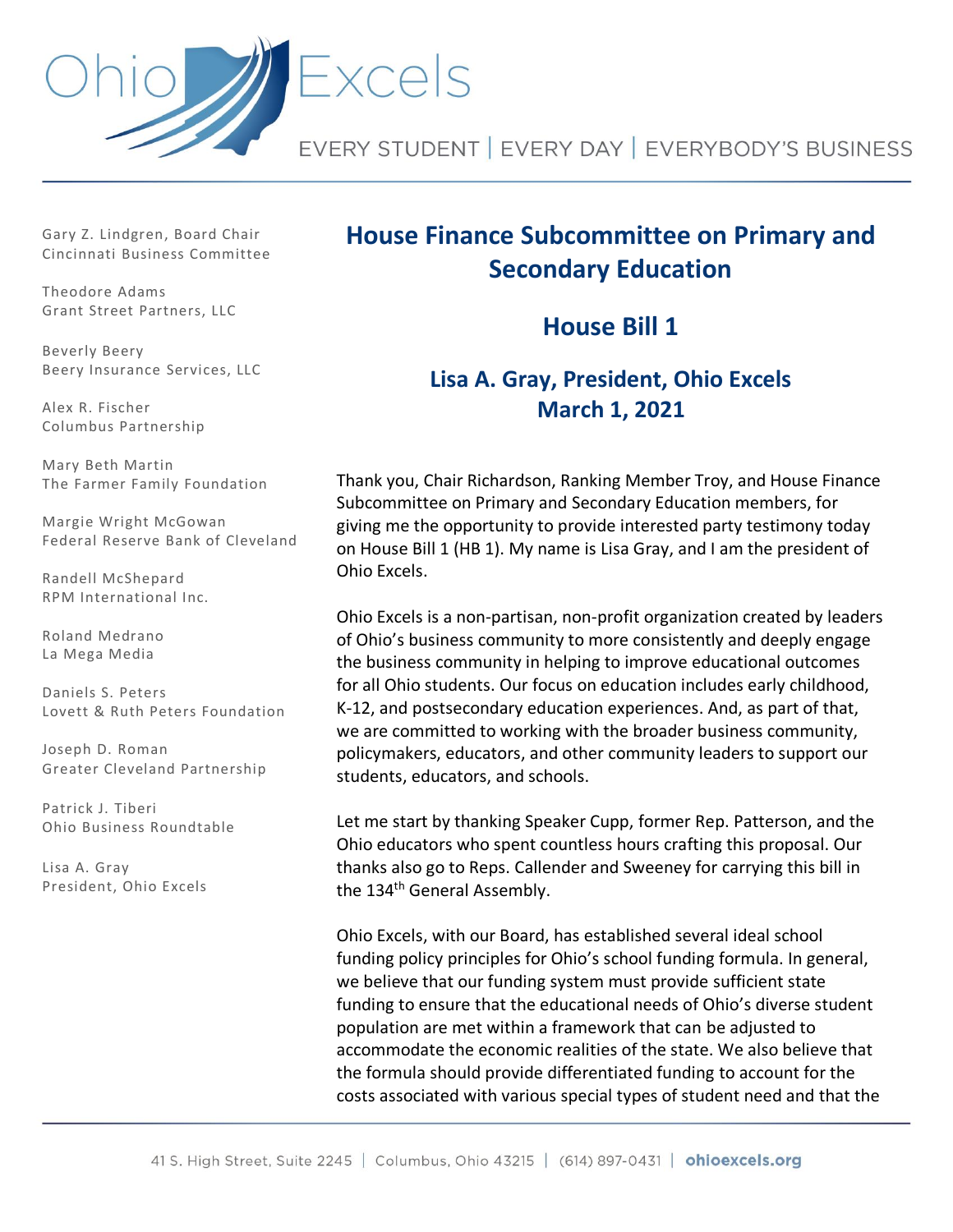

Gary Z. Lindgren, Board Chair Cincinnati Business Committee

Theodore Adams Grant Street Partners, LLC

Beverly Beery Beery Insurance Services, LLC

Alex R. Fischer Columbus Partnership

Mary Beth Martin The Farmer Family Foundation

Margie Wright McGowan Federal Reserve Bank of Cleveland

Randell McShepard RPM International Inc.

Roland Medrano La Mega Media

Daniels S. Peters Lovett & Ruth Peters Foundation

Joseph D. Roman Greater Cleveland Partnership

Patrick J. Tiberi Ohio Business Roundtable

Lisa A. Gray President, Ohio Excels

# **House Finance Subcommittee on Primary and Secondary Education**

**House Bill 1**

# **Lisa A. Gray, President, Ohio Excels March 1, 2021**

Thank you, Chair Richardson, Ranking Member Troy, and House Finance Subcommittee on Primary and Secondary Education members, for giving me the opportunity to provide interested party testimony today on House Bill 1 (HB 1). My name is Lisa Gray, and I am the president of Ohio Excels.

Ohio Excels is a non-partisan, non-profit organization created by leaders of Ohio's business community to more consistently and deeply engage the business community in helping to improve educational outcomes for all Ohio students. Our focus on education includes early childhood, K-12, and postsecondary education experiences. And, as part of that, we are committed to working with the broader business community, policymakers, educators, and other community leaders to support our students, educators, and schools.

Let me start by thanking Speaker Cupp, former Rep. Patterson, and the Ohio educators who spent countless hours crafting this proposal. Our thanks also go to Reps. Callender and Sweeney for carrying this bill in the 134<sup>th</sup> General Assembly.

Ohio Excels, with our Board, has established several ideal school funding policy principles for Ohio's school funding formula. In general, we believe that our funding system must provide sufficient state funding to ensure that the educational needs of Ohio's diverse student population are met within a framework that can be adjusted to accommodate the economic realities of the state. We also believe that the formula should provide differentiated funding to account for the costs associated with various special types of student need and that the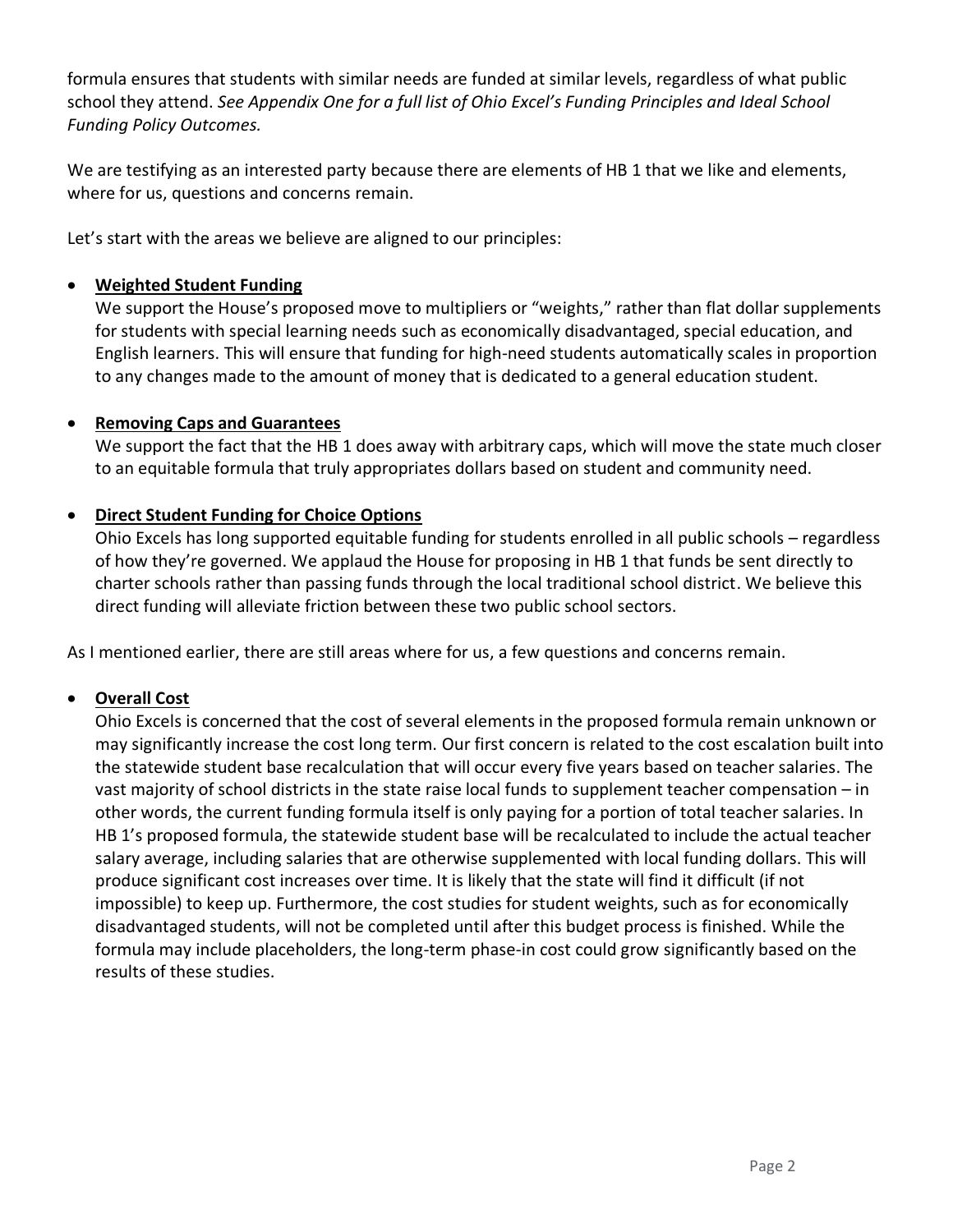formula ensures that students with similar needs are funded at similar levels, regardless of what public school they attend. *See Appendix One for a full list of Ohio Excel's Funding Principles and Ideal School Funding Policy Outcomes.*

We are testifying as an interested party because there are elements of HB 1 that we like and elements, where for us, questions and concerns remain.

Let's start with the areas we believe are aligned to our principles:

## • **Weighted Student Funding**

We support the House's proposed move to multipliers or "weights," rather than flat dollar supplements for students with special learning needs such as economically disadvantaged, special education, and English learners. This will ensure that funding for high-need students automatically scales in proportion to any changes made to the amount of money that is dedicated to a general education student.

## • **Removing Caps and Guarantees**

We support the fact that the HB 1 does away with arbitrary caps, which will move the state much closer to an equitable formula that truly appropriates dollars based on student and community need.

## • **Direct Student Funding for Choice Options**

Ohio Excels has long supported equitable funding for students enrolled in all public schools – regardless of how they're governed. We applaud the House for proposing in HB 1 that funds be sent directly to charter schools rather than passing funds through the local traditional school district. We believe this direct funding will alleviate friction between these two public school sectors.

As I mentioned earlier, there are still areas where for us, a few questions and concerns remain.

#### • **Overall Cost**

Ohio Excels is concerned that the cost of several elements in the proposed formula remain unknown or may significantly increase the cost long term. Our first concern is related to the cost escalation built into the statewide student base recalculation that will occur every five years based on teacher salaries. The vast majority of school districts in the state raise local funds to supplement teacher compensation – in other words, the current funding formula itself is only paying for a portion of total teacher salaries. In HB 1's proposed formula, the statewide student base will be recalculated to include the actual teacher salary average, including salaries that are otherwise supplemented with local funding dollars. This will produce significant cost increases over time. It is likely that the state will find it difficult (if not impossible) to keep up. Furthermore, the cost studies for student weights, such as for economically disadvantaged students, will not be completed until after this budget process is finished. While the formula may include placeholders, the long-term phase-in cost could grow significantly based on the results of these studies.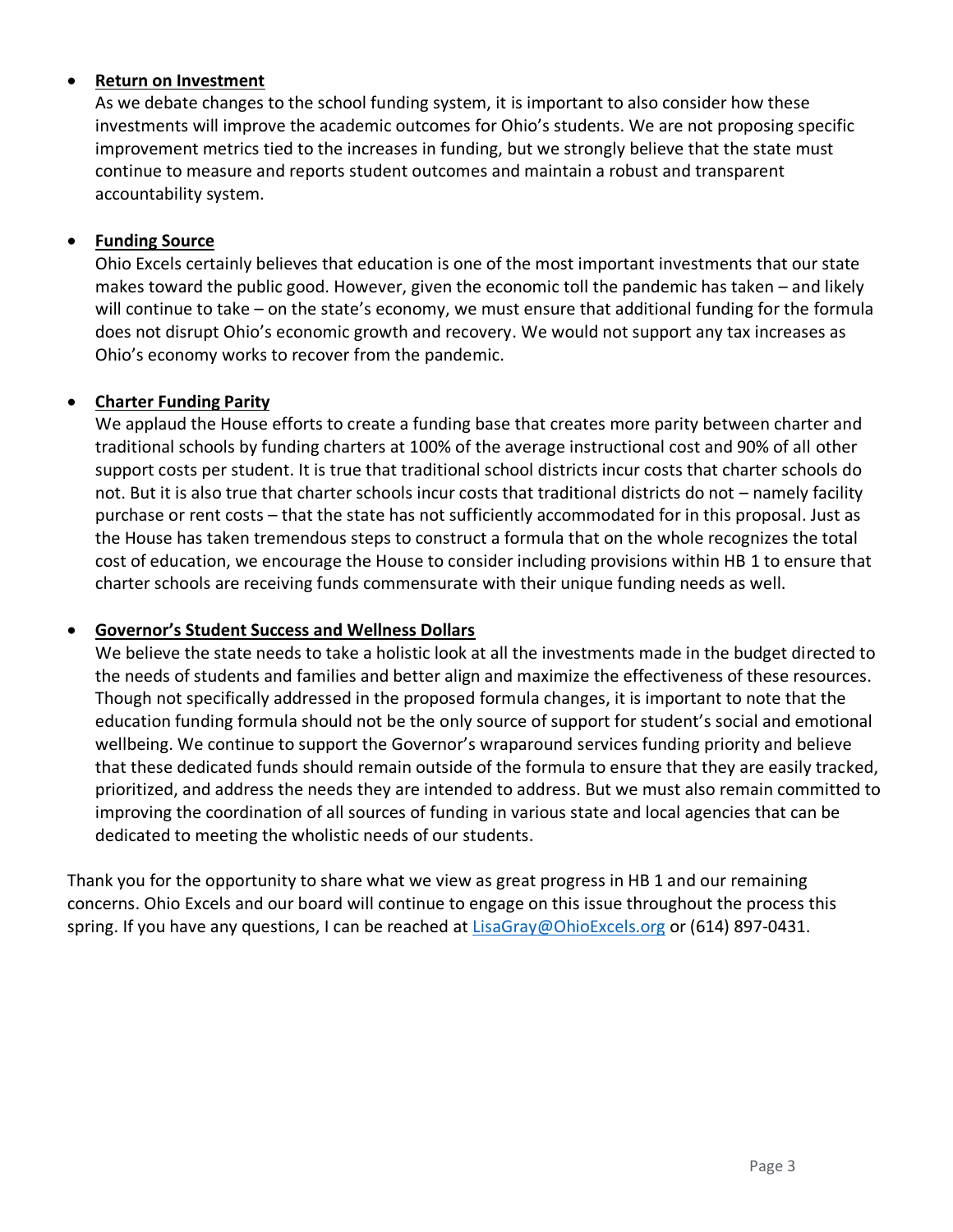#### • **Return on Investment**

As we debate changes to the school funding system, it is important to also consider how these investments will improve the academic outcomes for Ohio's students. We are not proposing specific improvement metrics tied to the increases in funding, but we strongly believe that the state must continue to measure and reports student outcomes and maintain a robust and transparent accountability system.

#### • **Funding Source**

Ohio Excels certainly believes that education is one of the most important investments that our state makes toward the public good. However, given the economic toll the pandemic has taken – and likely will continue to take – on the state's economy, we must ensure that additional funding for the formula does not disrupt Ohio's economic growth and recovery. We would not support any tax increases as Ohio's economy works to recover from the pandemic.

#### • **Charter Funding Parity**

We applaud the House efforts to create a funding base that creates more parity between charter and traditional schools by funding charters at 100% of the average instructional cost and 90% of all other support costs per student. It is true that traditional school districts incur costs that charter schools do not. But it is also true that charter schools incur costs that traditional districts do not – namely facility purchase or rent costs – that the state has not sufficiently accommodated for in this proposal. Just as the House has taken tremendous steps to construct a formula that on the whole recognizes the total cost of education, we encourage the House to consider including provisions within HB 1 to ensure that charter schools are receiving funds commensurate with their unique funding needs as well.

#### • **Governor's Student Success and Wellness Dollars**

We believe the state needs to take a holistic look at all the investments made in the budget directed to the needs of students and families and better align and maximize the effectiveness of these resources. Though not specifically addressed in the proposed formula changes, it is important to note that the education funding formula should not be the only source of support for student's social and emotional wellbeing. We continue to support the Governor's wraparound services funding priority and believe that these dedicated funds should remain outside of the formula to ensure that they are easily tracked, prioritized, and address the needs they are intended to address. But we must also remain committed to improving the coordination of all sources of funding in various state and local agencies that can be dedicated to meeting the wholistic needs of our students.

Thank you for the opportunity to share what we view as great progress in HB 1 and our remaining concerns. Ohio Excels and our board will continue to engage on this issue throughout the process this spring. If you have any questions, I can be reached at [LisaGray@OhioExcels.org](mailto:LisaGray@OhioExcels.org) or (614) 897-0431.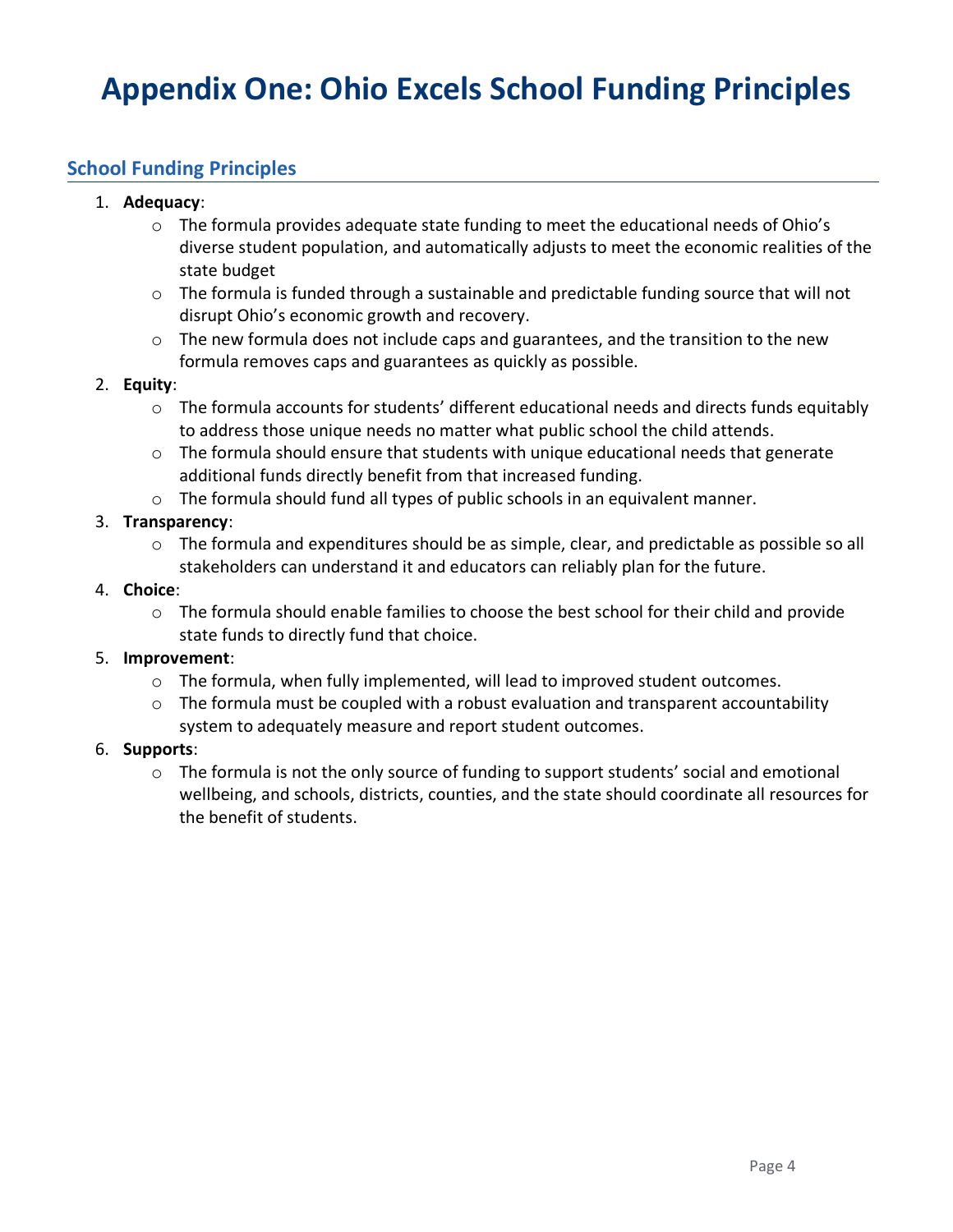# **Appendix One: Ohio Excels School Funding Principles**

# **School Funding Principles**

#### 1. **Adequacy**:

- $\circ$  The formula provides adequate state funding to meet the educational needs of Ohio's diverse student population, and automatically adjusts to meet the economic realities of the state budget
- o The formula is funded through a sustainable and predictable funding source that will not disrupt Ohio's economic growth and recovery.
- $\circ$  The new formula does not include caps and guarantees, and the transition to the new formula removes caps and guarantees as quickly as possible.

#### 2. **Equity**:

- o The formula accounts for students' different educational needs and directs funds equitably to address those unique needs no matter what public school the child attends.
- o The formula should ensure that students with unique educational needs that generate additional funds directly benefit from that increased funding.
- o The formula should fund all types of public schools in an equivalent manner.

#### 3. **Transparency**:

 $\circ$  The formula and expenditures should be as simple, clear, and predictable as possible so all stakeholders can understand it and educators can reliably plan for the future.

#### 4. **Choice**:

o The formula should enable families to choose the best school for their child and provide state funds to directly fund that choice.

#### 5. **Improvement**:

- o The formula, when fully implemented, will lead to improved student outcomes.
- o The formula must be coupled with a robust evaluation and transparent accountability system to adequately measure and report student outcomes.

#### 6. **Supports**:

 $\circ$  The formula is not the only source of funding to support students' social and emotional wellbeing, and schools, districts, counties, and the state should coordinate all resources for the benefit of students.